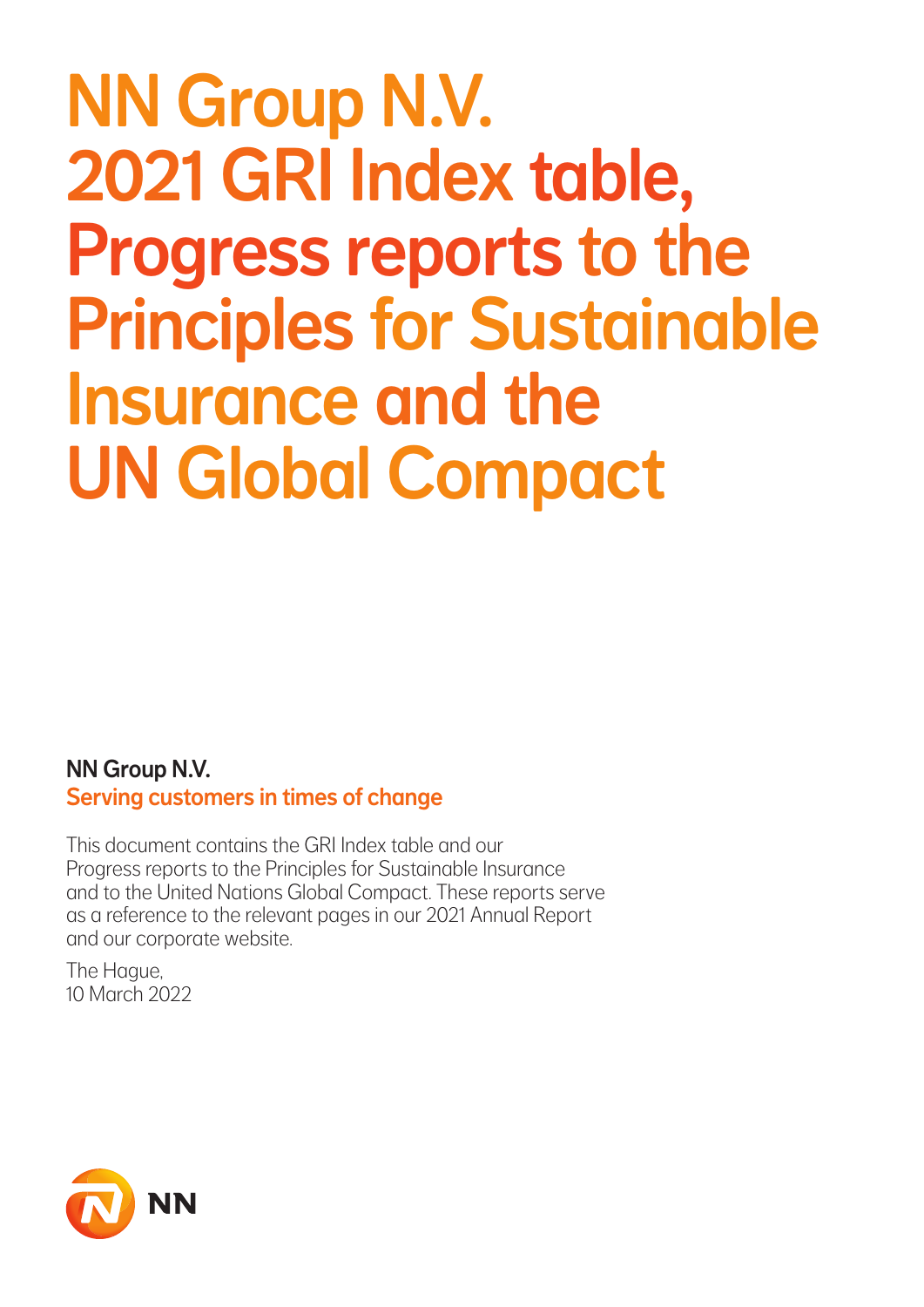# NN Group N.V. 2021 GRI Index table, Progress reports to the Principles for Sustainable Insurance and the UN Global Compact

NN Group N.V. Serving customers in times of change

This document contains the GRI Index table and our Progress reports to the Principles for Sustainable Insurance and to the United Nations Global Compact. These reports serve as a reference to the relevant pages in our 2021 Annual Report and our corporate website.

The Hague, 10 March 2022

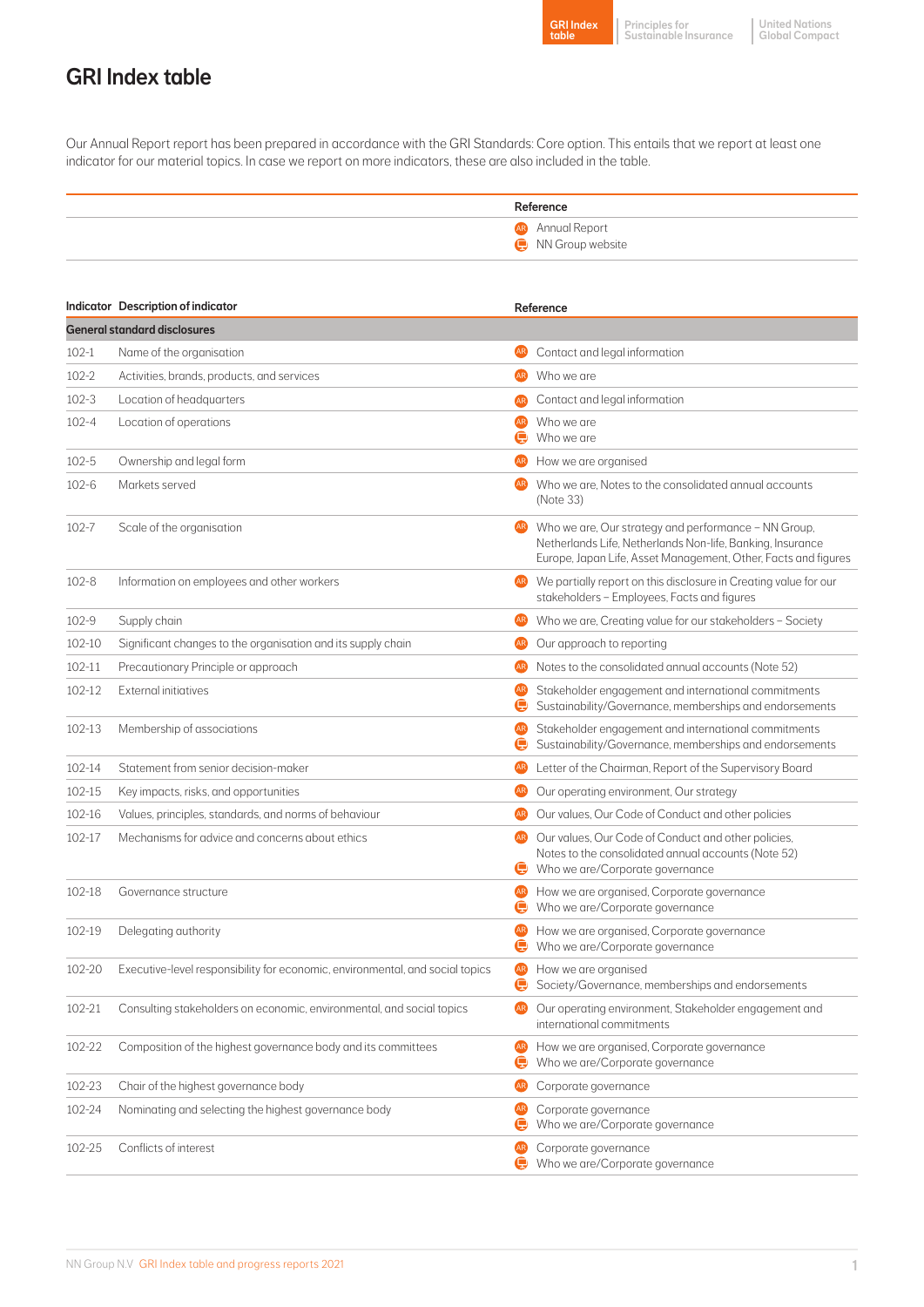

Principles for Sustainable Insurance

United Nations Global Compact

# GRI Index table

Our Annual Report report has been prepared in accordance with the GRI Standards: Core option. This entails that we report at least one indicator for our material topics. In case we report on more indicators, these are also included in the table.

| Reference                                   |
|---------------------------------------------|
| <b>AR</b> Annual Report<br>MN Group website |

|           | <b>Indicator</b> Description of indicator                                     |                          | Reference                                                                                                                                                                            |  |  |  |  |
|-----------|-------------------------------------------------------------------------------|--------------------------|--------------------------------------------------------------------------------------------------------------------------------------------------------------------------------------|--|--|--|--|
|           | <b>General standard disclosures</b>                                           |                          |                                                                                                                                                                                      |  |  |  |  |
| $102 - 1$ | Name of the organisation                                                      | (AR)                     | Contact and legal information                                                                                                                                                        |  |  |  |  |
| $102 - 2$ | Activities, brands, products, and services                                    | <b>AR</b>                | Who we are                                                                                                                                                                           |  |  |  |  |
| $102 - 3$ | Location of headquarters                                                      | <b>AR</b>                | Contact and legal information                                                                                                                                                        |  |  |  |  |
| $102 - 4$ | Location of operations                                                        | AR)<br>œ                 | Who we are<br>Who we are                                                                                                                                                             |  |  |  |  |
| $102 - 5$ | Ownership and legal form                                                      | AR.                      | How we are organised                                                                                                                                                                 |  |  |  |  |
| $102 - 6$ | Markets served                                                                |                          | Who we are. Notes to the consolidated annual accounts<br>(Note 33)                                                                                                                   |  |  |  |  |
| 102-7     | Scale of the organisation                                                     | <b>AR</b>                | Who we are, Our strategy and performance - NN Group,<br>Netherlands Life, Netherlands Non-life, Banking, Insurance<br>Europe, Japan Life, Asset Management, Other, Facts and figures |  |  |  |  |
| $102 - 8$ | Information on employees and other workers                                    | <b>AR</b>                | We partially report on this disclosure in Creating value for our<br>stakeholders - Employees, Facts and figures                                                                      |  |  |  |  |
| $102 - 9$ | Supply chain                                                                  | <b>AR</b>                | Who we are, Creating value for our stakeholders - Society                                                                                                                            |  |  |  |  |
| 102-10    | Significant changes to the organisation and its supply chain                  | <b>AR</b>                | Our approach to reporting                                                                                                                                                            |  |  |  |  |
| 102-11    | Precautionary Principle or approach                                           | <b>AR</b>                | Notes to the consolidated annual accounts (Note 52)                                                                                                                                  |  |  |  |  |
| 102-12    | <b>External initiatives</b>                                                   | <b>AR</b><br>e           | Stakeholder engagement and international commitments<br>Sustainability/Governance, memberships and endorsements                                                                      |  |  |  |  |
| 102-13    | Membership of associations                                                    | <b>AR</b><br>$\bf e$     | Stakeholder engagement and international commitments<br>Sustainability/Governance, memberships and endorsements                                                                      |  |  |  |  |
| 102-14    | Statement from senior decision-maker                                          | <b>AR</b>                | Letter of the Chairman, Report of the Supervisory Board                                                                                                                              |  |  |  |  |
| 102-15    | Key impacts, risks, and opportunities                                         | <b>AR</b>                | Our operating environment, Our strategy                                                                                                                                              |  |  |  |  |
| 102-16    | Values, principles, standards, and norms of behaviour                         | <b>AR</b>                | Our values, Our Code of Conduct and other policies                                                                                                                                   |  |  |  |  |
| 102-17    | Mechanisms for advice and concerns about ethics                               | AR)<br>$\mathbf \bullet$ | Our values, Our Code of Conduct and other policies,<br>Notes to the consolidated annual accounts (Note 52)<br>Who we are/Corporate governance                                        |  |  |  |  |
| 102-18    | Governance structure                                                          | (AR)<br>e                | How we are organised, Corporate governance<br>Who we are/Corporate governance                                                                                                        |  |  |  |  |
| 102-19    | Delegating authority                                                          | (AR)<br>e                | How we are organised, Corporate governance<br>Who we are/Corporate governance                                                                                                        |  |  |  |  |
| 102-20    | Executive-level responsibility for economic, environmental, and social topics | <b>AR</b><br>$\bullet$   | How we are organised<br>Society/Governance, memberships and endorsements                                                                                                             |  |  |  |  |
| 102-21    | Consulting stakeholders on economic, environmental, and social topics         |                          | Our operating environment, Stakeholder engagement and<br>international commitments                                                                                                   |  |  |  |  |
| 102-22    | Composition of the highest governance body and its committees                 | <b>AR</b><br>e           | How we are organised, Corporate governance<br>Who we are/Corporate governance                                                                                                        |  |  |  |  |
| 102-23    | Chair of the highest governance body                                          | <b>AR</b>                | Corporate governance                                                                                                                                                                 |  |  |  |  |
| 102-24    | Nominating and selecting the highest governance body                          | <b>AR</b><br>$\bullet$   | Corporate governance<br>Who we are/Corporate governance                                                                                                                              |  |  |  |  |
| 102-25    | Conflicts of interest                                                         | (AR)<br>e                | Corporate governance<br>Who we are/Corporate governance                                                                                                                              |  |  |  |  |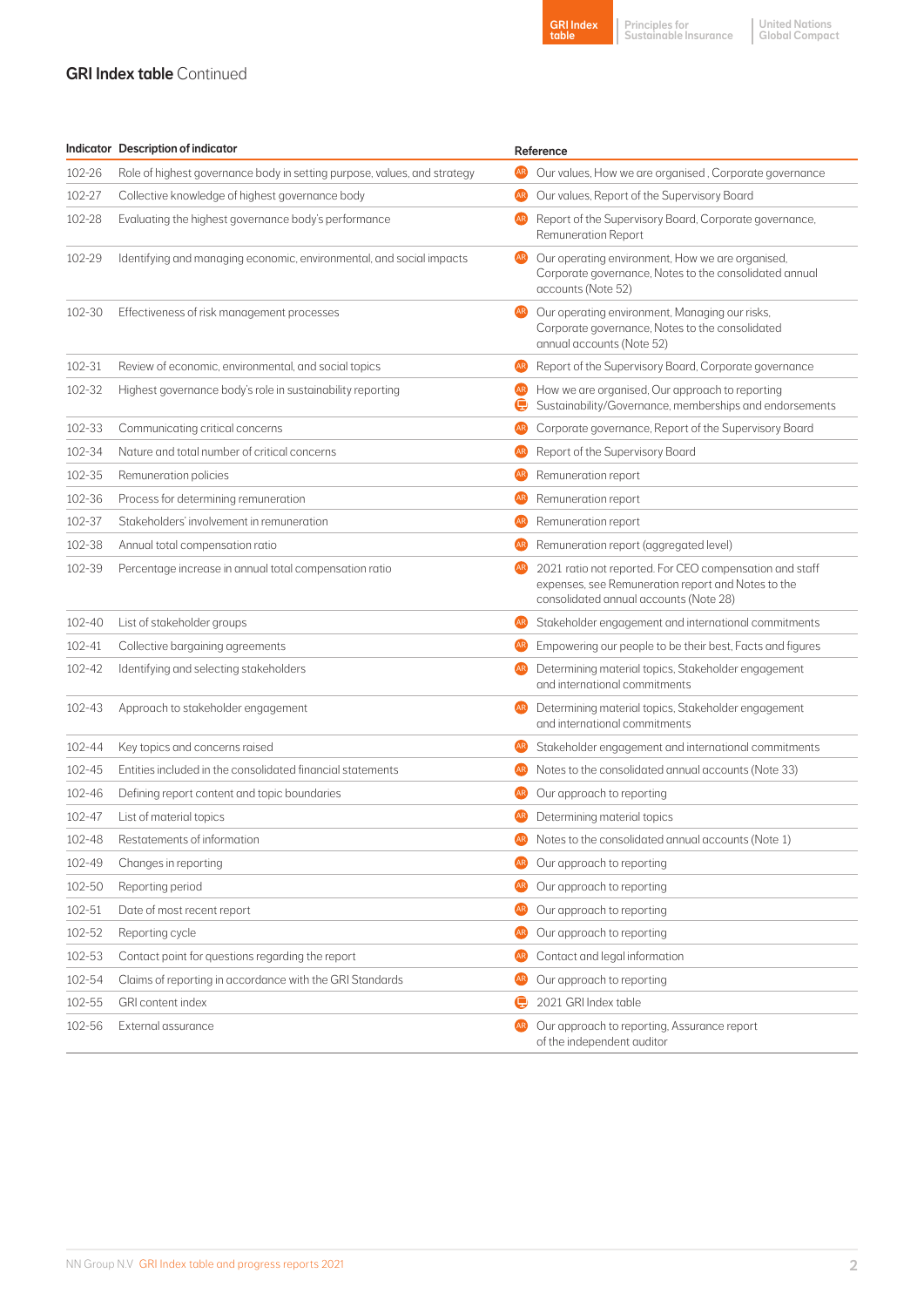#### **GRI Index table Continued**

|        | <b>Indicator</b> Description of indicator                                | Reference |                                                                                                                                                         |
|--------|--------------------------------------------------------------------------|-----------|---------------------------------------------------------------------------------------------------------------------------------------------------------|
| 102-26 | Role of highest governance body in setting purpose, values, and strategy | AR)       | Our values, How we are organised, Corporate governance                                                                                                  |
| 102-27 | Collective knowledge of highest governance body                          | <b>AR</b> | Our values, Report of the Supervisory Board                                                                                                             |
| 102-28 | Evaluating the highest governance body's performance                     | <b>AR</b> | Report of the Supervisory Board, Corporate governance,<br><b>Remuneration Report</b>                                                                    |
| 102-29 | Identifying and managing economic, environmental, and social impacts     | (AR)      | Our operating environment, How we are organised,<br>Corporate governance, Notes to the consolidated annual<br>accounts (Note 52)                        |
| 102-30 | Effectiveness of risk management processes                               | (AR)      | Our operating environment, Managing our risks,<br>Corporate governance, Notes to the consolidated<br>annual accounts (Note 52)                          |
| 102-31 | Review of economic, environmental, and social topics                     |           | Report of the Supervisory Board, Corporate governance                                                                                                   |
| 102-32 | Highest governance body's role in sustainability reporting               | AR)       | How we are organised, Our approach to reporting<br>Sustainability/Governance, memberships and endorsements                                              |
| 102-33 | Communicating critical concerns                                          | AR)       | Corporate governance, Report of the Supervisory Board                                                                                                   |
| 102-34 | Nature and total number of critical concerns                             | AR)       | Report of the Supervisory Board                                                                                                                         |
| 102-35 | Remuneration policies                                                    | AR)       | Remuneration report                                                                                                                                     |
| 102-36 | Process for determining remuneration                                     | AR)       | Remuneration report                                                                                                                                     |
| 102-37 | Stakeholders' involvement in remuneration                                | AR)       | Remuneration report                                                                                                                                     |
| 102-38 | Annual total compensation ratio                                          | AR)       | Remuneration report (aggregated level)                                                                                                                  |
| 102-39 | Percentage increase in annual total compensation ratio                   | AR)       | 2021 ratio not reported. For CEO compensation and staff<br>expenses, see Remuneration report and Notes to the<br>consolidated annual accounts (Note 28) |
| 102-40 | List of stakeholder groups                                               | <b>AR</b> | Stakeholder engagement and international commitments                                                                                                    |
| 102-41 | Collective bargaining agreements                                         |           | Empowering our people to be their best, Facts and figures                                                                                               |
| 102-42 | Identifying and selecting stakeholders                                   |           | Determining material topics, Stakeholder engagement<br>and international commitments                                                                    |
| 102-43 | Approach to stakeholder engagement                                       | AR)       | Determining material topics, Stakeholder engagement<br>and international commitments                                                                    |
| 102-44 | Key topics and concerns raised                                           | AR)       | Stakeholder engagement and international commitments                                                                                                    |
| 102-45 | Entities included in the consolidated financial statements               | AR)       | Notes to the consolidated annual accounts (Note 33)                                                                                                     |
| 102-46 | Defining report content and topic boundaries                             | AR)       | Our approach to reporting                                                                                                                               |
| 102-47 | List of material topics                                                  | AR)       | Determining material topics                                                                                                                             |
| 102-48 | Restatements of information                                              |           | Notes to the consolidated annual accounts (Note 1)                                                                                                      |
| 102-49 | Changes in reporting                                                     | <b>AR</b> | Our approach to reporting                                                                                                                               |
| 102-50 | Reporting period                                                         | <b>AR</b> | Our approach to reporting                                                                                                                               |
| 102-51 | Date of most recent report                                               | AR)       | Our approach to reporting                                                                                                                               |
| 102-52 | Reporting cycle                                                          | <b>AR</b> | Our approach to reporting                                                                                                                               |
| 102-53 | Contact point for questions regarding the report                         | <b>AR</b> | Contact and legal information                                                                                                                           |
| 102-54 | Claims of reporting in accordance with the GRI Standards                 | <b>AR</b> | Our approach to reporting                                                                                                                               |
| 102-55 | GRI content index                                                        | c         | 2021 GRI Index table                                                                                                                                    |
| 102-56 | External assurance                                                       | <b>AR</b> | Our approach to reporting, Assurance report<br>of the independent auditor                                                                               |

GRI Index table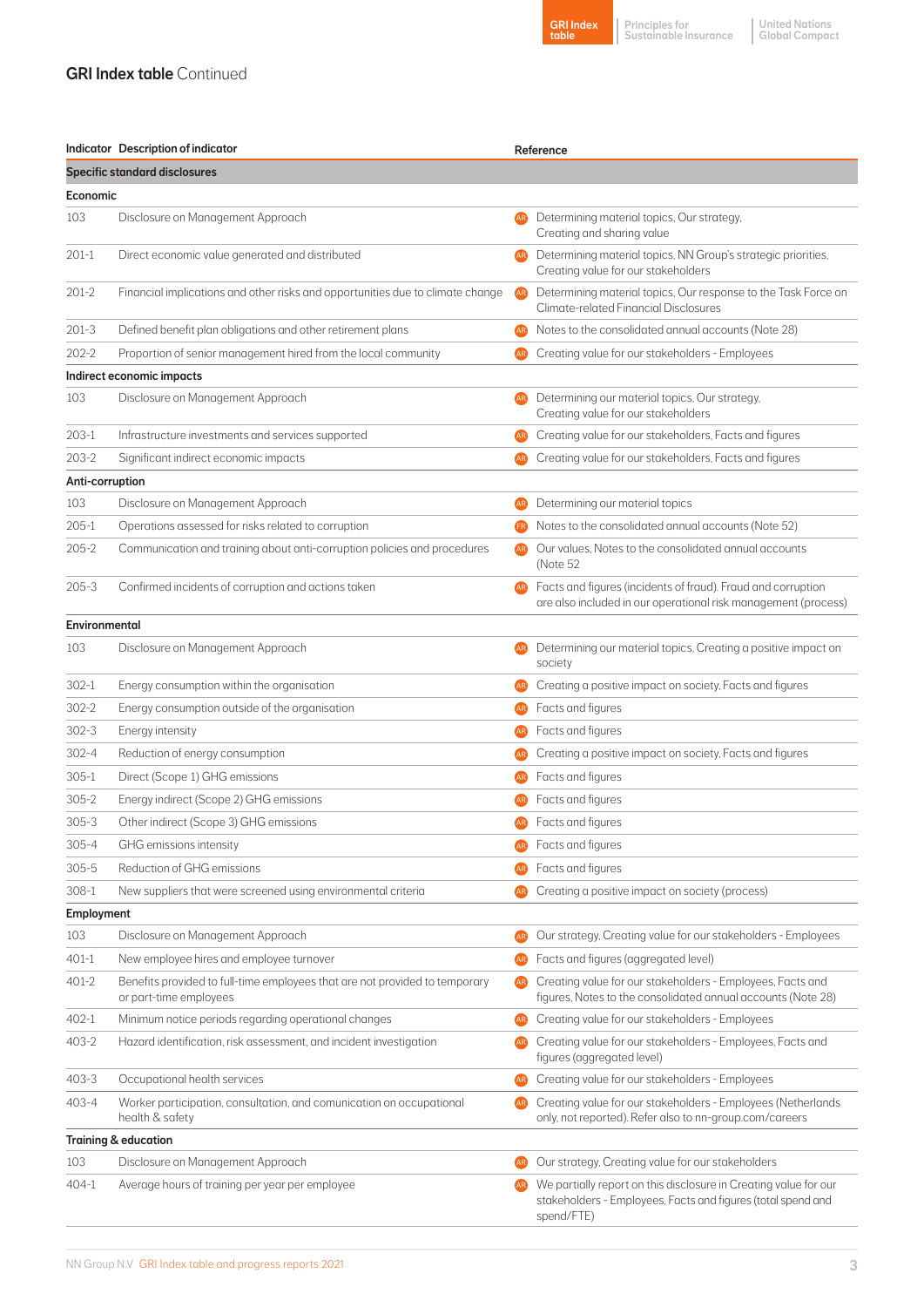#### **GRI Index table Continued**

|       | <b>GRI Index</b> |
|-------|------------------|
| table |                  |

Principles for Sustainable Insurance

United Nations Global Compact

|                                      | Indicator Description of indicator                                                                    |                | Reference                                                                                                                                      |  |  |  |
|--------------------------------------|-------------------------------------------------------------------------------------------------------|----------------|------------------------------------------------------------------------------------------------------------------------------------------------|--|--|--|
| <b>Specific standard disclosures</b> |                                                                                                       |                |                                                                                                                                                |  |  |  |
| Economic                             |                                                                                                       |                |                                                                                                                                                |  |  |  |
| 103                                  | Disclosure on Management Approach                                                                     | AR.            | Determining material topics, Our strategy,<br>Creating and sharing value                                                                       |  |  |  |
| $201-1$                              | Direct economic value generated and distributed                                                       | AR)            | Determining material topics, NN Group's strategic priorities,<br>Creating value for our stakeholders                                           |  |  |  |
| $201 - 2$                            | Financial implications and other risks and opportunities due to climate change                        | AR.            | Determining material topics, Our response to the Task Force on<br>Climate-related Financial Disclosures                                        |  |  |  |
| $201-3$                              | Defined benefit plan obligations and other retirement plans                                           | AR)            | Notes to the consolidated annual accounts (Note 28)                                                                                            |  |  |  |
| $202 - 2$                            | Proportion of senior management hired from the local community                                        | AR.            | Creating value for our stakeholders - Employees                                                                                                |  |  |  |
|                                      | Indirect economic impacts                                                                             |                |                                                                                                                                                |  |  |  |
| 103                                  | Disclosure on Management Approach                                                                     |                | Determining our material topics, Our strategy,<br>Creating value for our stakeholders                                                          |  |  |  |
| 203-1                                | Infrastructure investments and services supported                                                     | <b>AR</b>      | Creating value for our stakeholders, Facts and figures                                                                                         |  |  |  |
| 203-2                                | Significant indirect economic impacts                                                                 | <b>AR</b>      | Creating value for our stakeholders, Facts and figures                                                                                         |  |  |  |
| Anti-corruption                      |                                                                                                       |                |                                                                                                                                                |  |  |  |
| 103                                  | Disclosure on Management Approach                                                                     |                | Determining our material topics                                                                                                                |  |  |  |
| $205-1$                              | Operations assessed for risks related to corruption                                                   | Œ              | Notes to the consolidated annual accounts (Note 52)                                                                                            |  |  |  |
| $205 - 2$                            | Communication and training about anti-corruption policies and procedures                              |                | Our values, Notes to the consolidated annual accounts<br>(Note 52                                                                              |  |  |  |
| $205 - 3$                            | Confirmed incidents of corruption and actions taken                                                   |                | Facts and figures (incidents of fraud). Fraud and corruption<br>are also included in our operational risk management (process)                 |  |  |  |
| Environmental                        |                                                                                                       |                |                                                                                                                                                |  |  |  |
| 103                                  | Disclosure on Management Approach                                                                     |                | Determining our material topics, Creating a positive impact on<br>society                                                                      |  |  |  |
| 302-1                                | Energy consumption within the organisation                                                            |                | Creating a positive impact on society, Facts and figures                                                                                       |  |  |  |
| 302-2                                | Energy consumption outside of the organisation                                                        |                | Facts and figures                                                                                                                              |  |  |  |
| $302 - 3$                            | Energy intensity                                                                                      | <b>AR</b>      | Facts and figures                                                                                                                              |  |  |  |
| $302 - 4$                            | Reduction of energy consumption                                                                       |                | Creating a positive impact on society, Facts and figures                                                                                       |  |  |  |
| $305-1$                              | Direct (Scope 1) GHG emissions                                                                        | AR.            | Facts and figures                                                                                                                              |  |  |  |
| $305 - 2$                            | Energy indirect (Scope 2) GHG emissions                                                               |                | Facts and figures                                                                                                                              |  |  |  |
| $305 - 3$                            | Other indirect (Scope 3) GHG emissions                                                                | AR)            | Facts and figures                                                                                                                              |  |  |  |
| $305 - 4$                            | GHG emissions intensity                                                                               |                | Facts and figures                                                                                                                              |  |  |  |
| $305 - 5$                            | Reduction of GHG emissions                                                                            |                | Facts and figures                                                                                                                              |  |  |  |
| $308 - 1$                            | New suppliers that were screened using environmental criteria                                         | <b>AR</b>      | Creating a positive impact on society (process)                                                                                                |  |  |  |
| <b>Employment</b>                    |                                                                                                       |                |                                                                                                                                                |  |  |  |
| 103                                  | Disclosure on Management Approach                                                                     | <b>AR</b>      | Our strategy, Creating value for our stakeholders - Employees                                                                                  |  |  |  |
| 401-1                                | New employee hires and employee turnover                                                              | <b>AR</b>      | Facts and figures (aggregated level)                                                                                                           |  |  |  |
| 401-2                                | Benefits provided to full-time employees that are not provided to temporary<br>or part-time employees | <b>AR</b>      | Creating value for our stakeholders - Employees, Facts and<br>figures, Notes to the consolidated annual accounts (Note 28)                     |  |  |  |
| 402-1                                | Minimum notice periods regarding operational changes                                                  | AR)            | Creating value for our stakeholders - Employees                                                                                                |  |  |  |
| 403-2                                | Hazard identification, risk assessment, and incident investigation                                    | AR <sub></sub> | Creating value for our stakeholders - Employees, Facts and<br>figures (aggregated level)                                                       |  |  |  |
| 403-3                                | Occupational health services                                                                          | <b>AR</b>      | Creating value for our stakeholders - Employees                                                                                                |  |  |  |
| 403-4                                | Worker participation, consultation, and comunication on occupational<br>health & safety               | AR)            | Creating value for our stakeholders - Employees (Netherlands<br>only, not reported). Refer also to nn-group.com/careers                        |  |  |  |
|                                      | <b>Training &amp; education</b>                                                                       |                |                                                                                                                                                |  |  |  |
| 103                                  | Disclosure on Management Approach                                                                     | <b>AR</b>      | Our strategy, Creating value for our stakeholders                                                                                              |  |  |  |
| 404-1                                | Average hours of training per year per employee                                                       | <b>AR</b>      | We partially report on this disclosure in Creating value for our<br>stakeholders - Employees, Facts and figures (total spend and<br>spend/FTE) |  |  |  |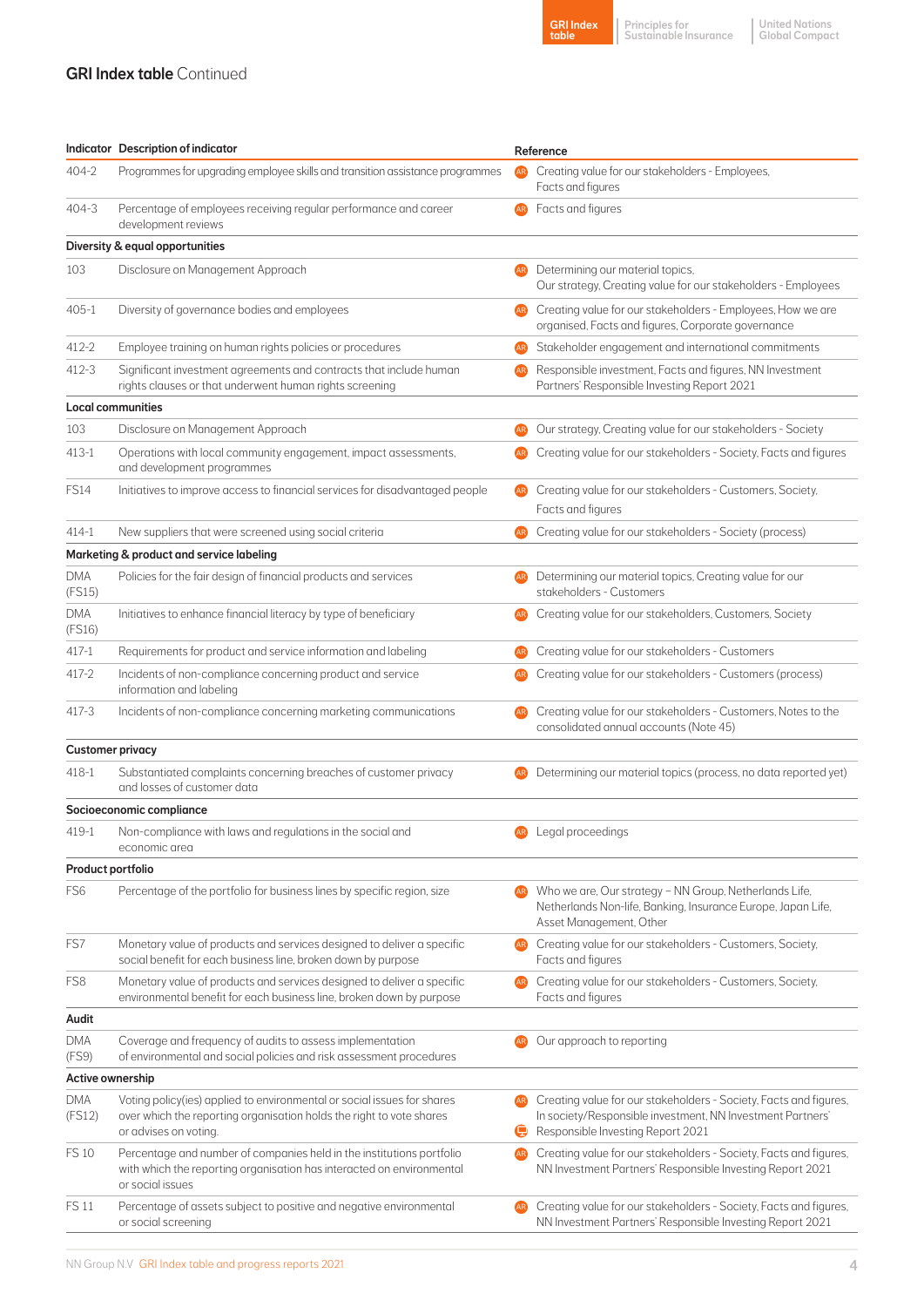#### **GRI Index table Continued**

|       | <b>GRI Index</b> |
|-------|------------------|
| table |                  |

Principles for Sustainable Insurance

United Nations Global Compact

|                         | Indicator Description of indicator                                                                                                                                       |                | Reference                                                                                                                                                            |  |  |
|-------------------------|--------------------------------------------------------------------------------------------------------------------------------------------------------------------------|----------------|----------------------------------------------------------------------------------------------------------------------------------------------------------------------|--|--|
| $404 - 2$               | Programmes for upgrading employee skills and transition assistance programmes                                                                                            |                | Creating value for our stakeholders - Employees,<br>Facts and figures                                                                                                |  |  |
| $404 - 3$               | Percentage of employees receiving regular performance and career<br>development reviews                                                                                  | AR.            | Facts and figures                                                                                                                                                    |  |  |
|                         | Diversity & equal opportunities                                                                                                                                          |                |                                                                                                                                                                      |  |  |
| 103                     | Disclosure on Management Approach                                                                                                                                        |                | Determining our material topics,<br>Our strategy, Creating value for our stakeholders - Employees                                                                    |  |  |
| 405-1                   | Diversity of governance bodies and employees                                                                                                                             | AR <sup></sup> | Creating value for our stakeholders - Employees, How we are<br>organised, Facts and figures, Corporate governance                                                    |  |  |
| 412-2                   | Employee training on human rights policies or procedures                                                                                                                 | <b>AR</b>      | Stakeholder engagement and international commitments                                                                                                                 |  |  |
| 412-3                   | Significant investment agreements and contracts that include human<br>rights clauses or that underwent human rights screening                                            |                | Responsible investment, Facts and figures, NN Investment<br>Partners' Responsible Investing Report 2021                                                              |  |  |
|                         | Local communities                                                                                                                                                        |                |                                                                                                                                                                      |  |  |
| 103                     | Disclosure on Management Approach                                                                                                                                        | AR.            | Our strategy, Creating value for our stakeholders - Society                                                                                                          |  |  |
| 413-1                   | Operations with local community engagement, impact assessments,<br>and development programmes                                                                            |                | Creating value for our stakeholders - Society, Facts and figures                                                                                                     |  |  |
| <b>FS14</b>             | Initiatives to improve access to financial services for disadvantaged people                                                                                             | AR)            | Creating value for our stakeholders - Customers, Society,                                                                                                            |  |  |
|                         |                                                                                                                                                                          |                | Facts and figures                                                                                                                                                    |  |  |
| $414 - 1$               | New suppliers that were screened using social criteria                                                                                                                   | <b>AR</b>      | Creating value for our stakeholders - Society (process)                                                                                                              |  |  |
|                         | Marketing & product and service labeling                                                                                                                                 |                |                                                                                                                                                                      |  |  |
| <b>DMA</b><br>(FS15)    | Policies for the fair design of financial products and services                                                                                                          |                | Determining our material topics, Creating value for our<br>stakeholders - Customers                                                                                  |  |  |
| <b>DMA</b><br>(FS16)    | Initiatives to enhance financial literacy by type of beneficiary                                                                                                         |                | Creating value for our stakeholders, Customers, Society                                                                                                              |  |  |
| 417-1                   | Requirements for product and service information and labeling                                                                                                            | AR)            | Creating value for our stakeholders - Customers                                                                                                                      |  |  |
| $417 - 2$               | Incidents of non-compliance concerning product and service<br>information and labeling                                                                                   |                | Creating value for our stakeholders - Customers (process)                                                                                                            |  |  |
| $417 - 3$               | Incidents of non-compliance concerning marketing communications                                                                                                          |                | Creating value for our stakeholders - Customers, Notes to the<br>consolidated annual accounts (Note 45)                                                              |  |  |
| <b>Customer privacy</b> |                                                                                                                                                                          |                |                                                                                                                                                                      |  |  |
| $418 - 1$               | Substantiated complaints concerning breaches of customer privacy<br>and losses of customer data                                                                          |                | Determining our material topics (process, no data reported yet)                                                                                                      |  |  |
|                         | Socioeconomic compliance                                                                                                                                                 |                |                                                                                                                                                                      |  |  |
| 419-1                   | Non-compliance with laws and regulations in the social and<br>economic area                                                                                              | <b>AR</b>      | Legal proceedings                                                                                                                                                    |  |  |
| Product portfolio       |                                                                                                                                                                          |                |                                                                                                                                                                      |  |  |
| FS <sub>6</sub>         | Percentage of the portfolio for business lines by specific region, size                                                                                                  |                | Who we are, Our strategy - NN Group, Netherlands Life,<br>Netherlands Non-life, Banking, Insurance Europe, Japan Life,<br>Asset Management, Other                    |  |  |
| FS7                     | Monetary value of products and services designed to deliver a specific<br>social benefit for each business line, broken down by purpose                                  |                | Creating value for our stakeholders - Customers, Society,<br>Facts and figures                                                                                       |  |  |
| FS8                     | Monetary value of products and services designed to deliver a specific<br>environmental benefit for each business line, broken down by purpose                           |                | Creating value for our stakeholders - Customers, Society,<br>Facts and figures                                                                                       |  |  |
| Audit                   |                                                                                                                                                                          |                |                                                                                                                                                                      |  |  |
| DMA<br>(FS9)            | Coverage and frequency of audits to assess implementation<br>of environmental and social policies and risk assessment procedures                                         |                | Our approach to reporting                                                                                                                                            |  |  |
| Active ownership        |                                                                                                                                                                          |                |                                                                                                                                                                      |  |  |
| <b>DMA</b><br>(FS12)    | Voting policy(ies) applied to environmental or social issues for shares<br>over which the reporting organisation holds the right to vote shares<br>or advises on voting. | c              | Creating value for our stakeholders - Society, Facts and figures,<br>In society/Responsible investment, NN Investment Partners'<br>Responsible Investing Report 2021 |  |  |
| <b>FS 10</b>            | Percentage and number of companies held in the institutions portfolio<br>with which the reporting organisation has interacted on environmental<br>or social issues       |                | Creating value for our stakeholders - Society, Facts and figures,<br>NN Investment Partners' Responsible Investing Report 2021                                       |  |  |
| <b>FS 11</b>            | Percentage of assets subject to positive and negative environmental<br>or social screening                                                                               |                | Creating value for our stakeholders - Society, Facts and figures,<br>NN Investment Partners' Responsible Investing Report 2021                                       |  |  |
|                         |                                                                                                                                                                          |                |                                                                                                                                                                      |  |  |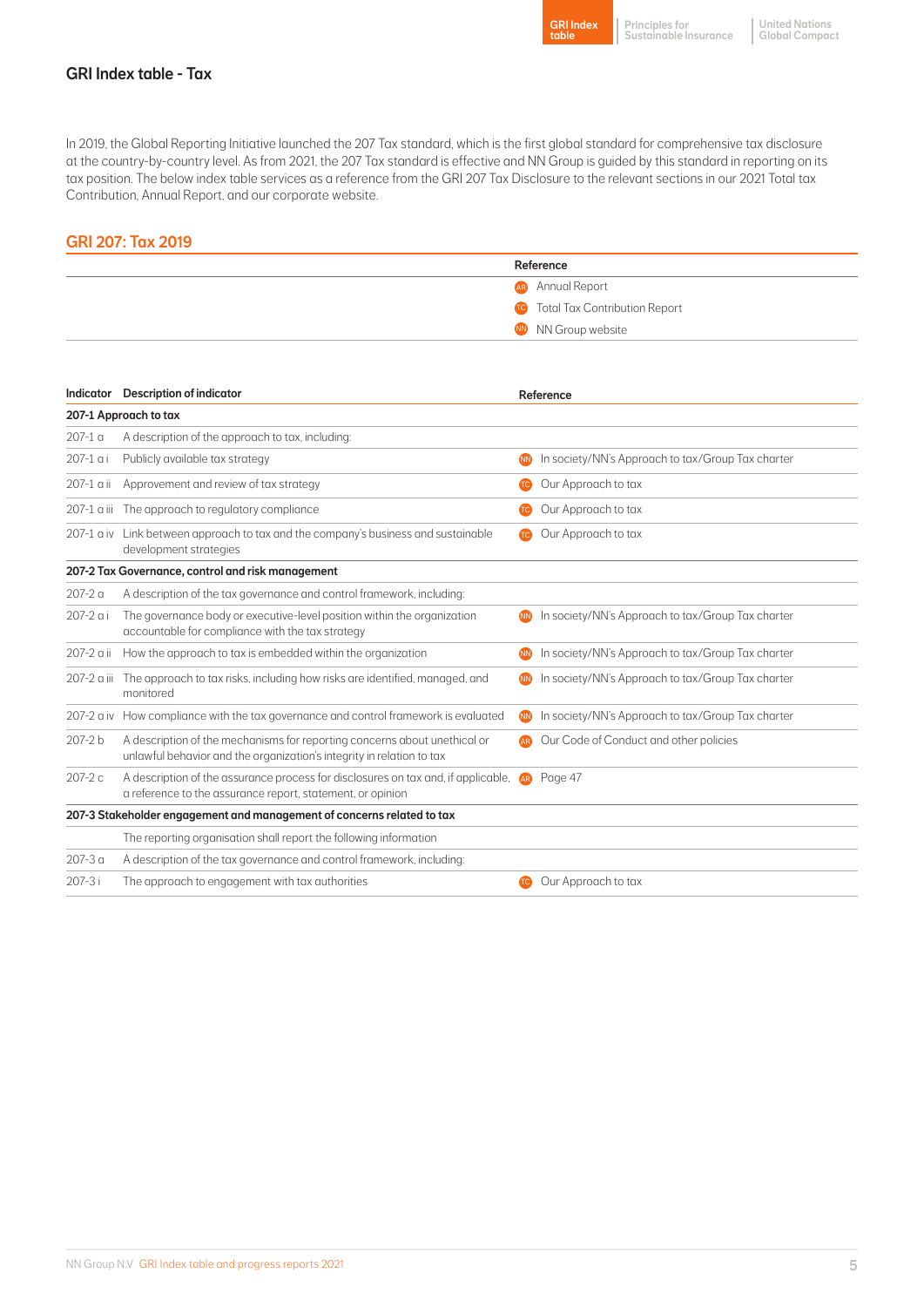

## GRI Index table - Tax

In 2019, the Global Reporting Initiative launched the 207 Tax standard, which is the first global standard for comprehensive tax disclosure at the country-by-country level. As from 2021, the 207 Tax standard is effective and NN Group is guided by this standard in reporting on its tax position. The below index table services as a reference from the GRI 207 Tax Disclosure to the relevant sections in our 2021 Total tax Contribution, Annual Report, and our corporate website.

## GRI 207: Tax 2019

| Reference                                             |                                                   |  |
|-------------------------------------------------------|---------------------------------------------------|--|
|                                                       | AR Annual Report                                  |  |
|                                                       | <b>Total Tax Contribution Report</b><br><b>TC</b> |  |
|                                                       | NN NN Group website                               |  |
|                                                       |                                                   |  |
|                                                       |                                                   |  |
| Indicator Description of indicator                    | Reference                                         |  |
| 207-1 Approach to tax                                 |                                                   |  |
| 007.1 a Adoosiyatiga afita gaayoo dabto tariisahadaan |                                                   |  |

| $207-1a$    | A description of the approach to tax, including:                                                                                                   |           |                                                   |
|-------------|----------------------------------------------------------------------------------------------------------------------------------------------------|-----------|---------------------------------------------------|
| 207-1 ai    | Publicly available tax strategy                                                                                                                    | <b>NN</b> | In society/NN's Approach to tax/Group Tax charter |
| 207-1 a ii  | Approvement and review of tax strategy                                                                                                             | <b>TC</b> | Our Approach to tax                               |
| 207-1 a iii | The approach to regulatory compliance                                                                                                              | <b>TC</b> | Our Approach to tax                               |
|             | 207-1 a iv Link between approach to tax and the company's business and sustainable<br>development strategies                                       | <b>TC</b> | Our Approach to tax                               |
|             | 207-2 Tax Governance, control and risk management                                                                                                  |           |                                                   |
| $207 - 2a$  | A description of the tax governance and control framework, including:                                                                              |           |                                                   |
| 207-2 a i   | The governance body or executive-level position within the organization<br>accountable for compliance with the tax strategy                        |           | In society/NN's Approach to tax/Group Tax charter |
| 207-2 a ii  | How the approach to tax is embedded within the organization                                                                                        | <b>NN</b> | In society/NN's Approach to tax/Group Tax charter |
| 207-2 a iii | The approach to tax risks, including how risks are identified, managed, and<br>monitored                                                           | <b>NN</b> | In society/NN's Approach to tax/Group Tax charter |
|             | 207-2 a iv How compliance with the tax governance and control framework is evaluated                                                               | <b>NN</b> | In society/NN's Approach to tax/Group Tax charter |
| 207-2 b     | A description of the mechanisms for reporting concerns about unethical or<br>unlawful behavior and the organization's integrity in relation to tax | <b>AR</b> | Our Code of Conduct and other policies            |
| 207-2 с     | A description of the assurance process for disclosures on tax and, if applicable,<br>a reference to the assurance report, statement, or opinion    | <b>AR</b> | Page 47                                           |
|             | 207-3 Stakeholder engagement and management of concerns related to tax                                                                             |           |                                                   |
|             | The reporting organisation shall report the following information                                                                                  |           |                                                   |
| $207 - 3a$  | A description of the tax governance and control framework, including:                                                                              |           |                                                   |
| 207-3i      | The approach to engagement with tax authorities                                                                                                    | <b>TC</b> | Our Approach to tax                               |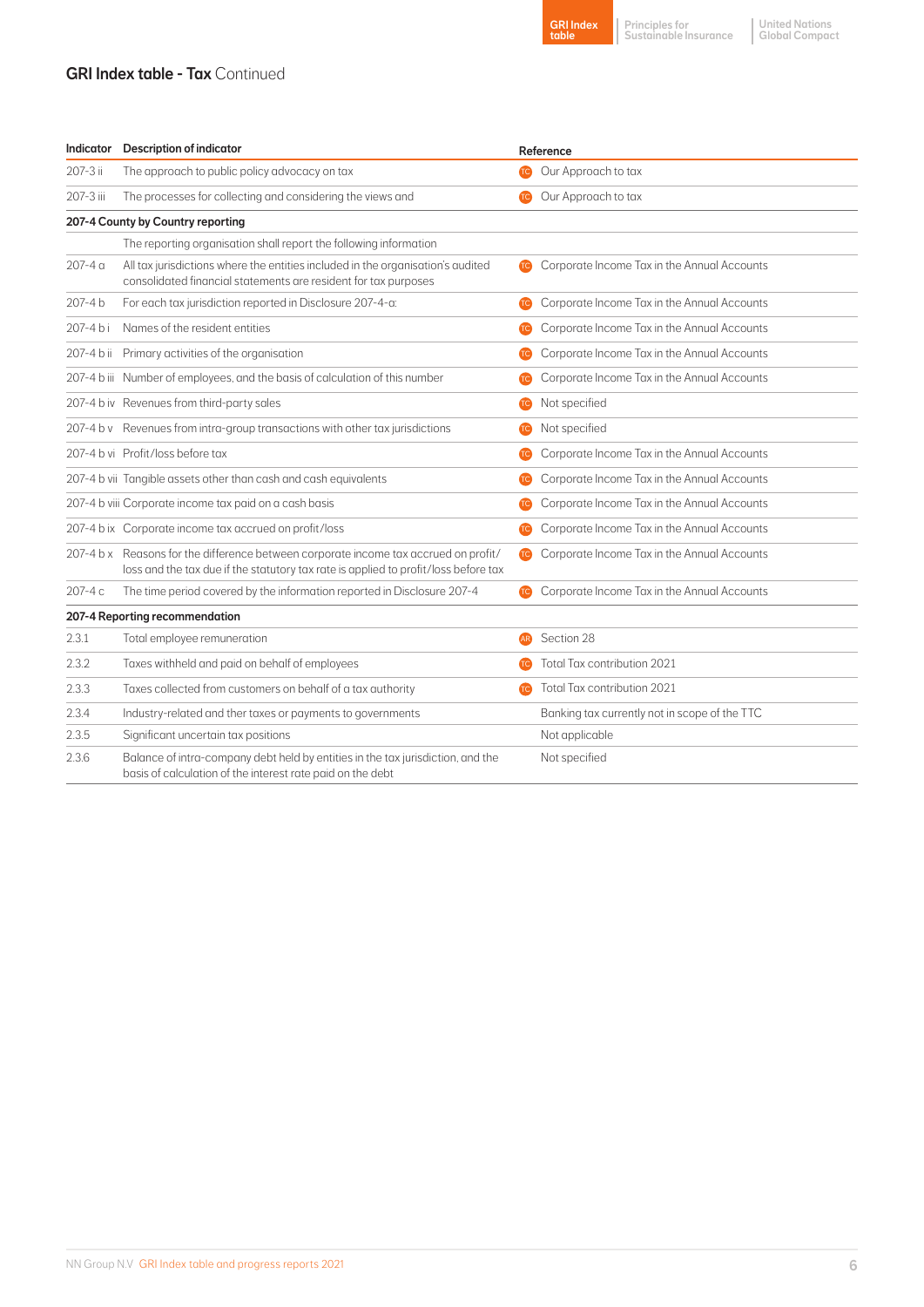### **GRI Index table - Tax Continued**



Principles for Sustainable Insurance

United Nations Global Compact

| Indicator | <b>Description of indicator</b>                                                                                                                                             | Reference |                                               |
|-----------|-----------------------------------------------------------------------------------------------------------------------------------------------------------------------------|-----------|-----------------------------------------------|
| 207-3 ii  | The approach to public policy advocacy on tax                                                                                                                               |           | Our Approach to tax                           |
| 207-3 iii | The processes for collecting and considering the views and                                                                                                                  | <b>te</b> | Our Approach to tax                           |
|           | 207-4 County by Country reporting                                                                                                                                           |           |                                               |
|           | The reporting organisation shall report the following information                                                                                                           |           |                                               |
| 207-4 a   | All tax jurisdictions where the entities included in the organisation's audited<br>consolidated financial statements are resident for tax purposes                          | <b>te</b> | Corporate Income Tax in the Annual Accounts   |
| 207-4 b   | For each tax jurisdiction reported in Disclosure 207-4-a:                                                                                                                   | <b>TC</b> | Corporate Income Tax in the Annual Accounts   |
| 207-4 bi  | Names of the resident entities                                                                                                                                              | <b>TC</b> | Corporate Income Tax in the Annual Accounts   |
|           | 207-4 b ii Primary activities of the organisation                                                                                                                           | œ         | Corporate Income Tax in the Annual Accounts   |
|           | 207-4 b iii Number of employees, and the basis of calculation of this number                                                                                                | <b>TC</b> | Corporate Income Tax in the Annual Accounts   |
|           | 207-4 b iv Revenues from third-party sales                                                                                                                                  | <b>TC</b> | Not specified                                 |
|           | 207-4 b v Revenues from intra-group transactions with other tax jurisdictions                                                                                               | <b>TC</b> | Not specified                                 |
|           | 207-4 b vi Profit/loss before tax                                                                                                                                           | <b>TC</b> | Corporate Income Tax in the Annual Accounts   |
|           | 207-4 b vii Tangible assets other than cash and cash equivalents                                                                                                            | <b>TC</b> | Corporate Income Tax in the Annual Accounts   |
|           | 207-4 b viii Corporate income tax paid on a cash basis                                                                                                                      | <b>TC</b> | Corporate Income Tax in the Annual Accounts   |
|           | 207-4 b ix Corporate income tax accrued on profit/loss                                                                                                                      | <b>TC</b> | Corporate Income Tax in the Annual Accounts   |
|           | 207-4 b x Reasons for the difference between corporate income tax accrued on profit/<br>loss and the tax due if the statutory tax rate is applied to profit/loss before tax | <b>Te</b> | Corporate Income Tax in the Annual Accounts   |
| 207-4 c   | The time period covered by the information reported in Disclosure 207-4                                                                                                     | <b>TC</b> | Corporate Income Tax in the Annual Accounts   |
|           | 207-4 Reporting recommendation                                                                                                                                              |           |                                               |
| 2.3.1     | Total employee remuneration                                                                                                                                                 | <b>AR</b> | Section 28                                    |
| 2.3.2     | Taxes withheld and paid on behalf of employees                                                                                                                              |           | Total Tax contribution 2021                   |
| 2.3.3     | Taxes collected from customers on behalf of a tax authority                                                                                                                 | <b>TC</b> | Total Tax contribution 2021                   |
| 2.3.4     | Industry-related and ther taxes or payments to governments                                                                                                                  |           | Banking tax currently not in scope of the TTC |
| 2.3.5     | Significant uncertain tax positions                                                                                                                                         |           | Not applicable                                |
| 2.3.6     | Balance of intra-company debt held by entities in the tax jurisdiction, and the<br>basis of calculation of the interest rate paid on the debt                               |           | Not specified                                 |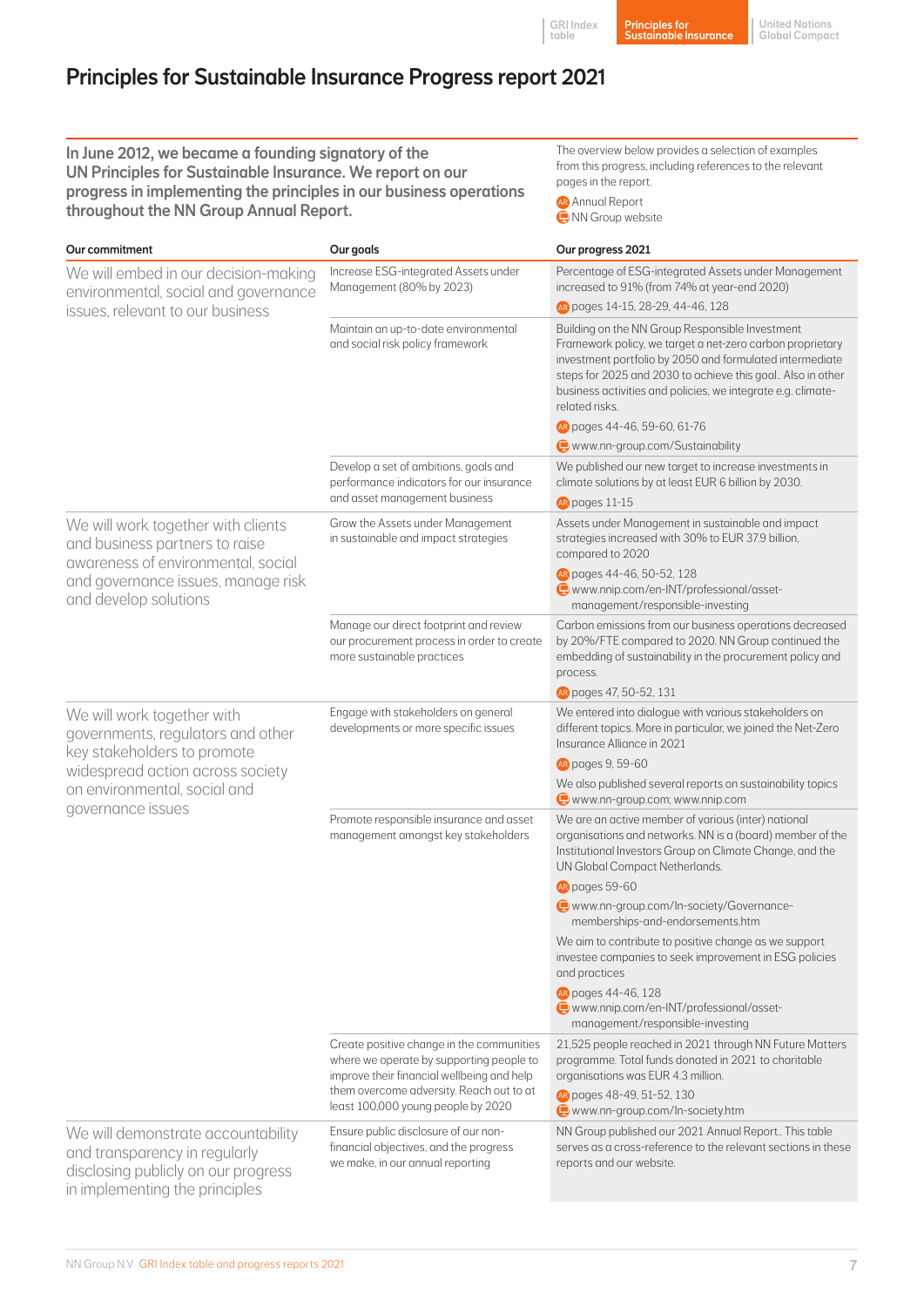# Principles for Sustainable Insurance Progress report 2021

| In June 2012, we became a founding signatory of the<br>UN Principles for Sustainable Insurance. We report on our<br>progress in implementing the principles in our business operations<br>throughout the NN Group Annual Report. |                                                                                                                                     | The overview below provides a selection of examples<br>from this progress, including references to the relevant<br>pages in the report.<br><b>AR</b> Annual Report<br>NN Group website                                                                                                                                   |  |
|----------------------------------------------------------------------------------------------------------------------------------------------------------------------------------------------------------------------------------|-------------------------------------------------------------------------------------------------------------------------------------|--------------------------------------------------------------------------------------------------------------------------------------------------------------------------------------------------------------------------------------------------------------------------------------------------------------------------|--|
| Our commitment                                                                                                                                                                                                                   | Our goals                                                                                                                           | Our progress 2021                                                                                                                                                                                                                                                                                                        |  |
| We will embed in our decision-making<br>environmental, social and governance<br>issues, relevant to our business                                                                                                                 | Increase ESG-integrated Assets under<br>Management (80% by 2023)                                                                    | Percentage of ESG-integrated Assets under Management<br>increased to 91% (from 74% at year-end 2020)<br>Repages 14-15, 28-29, 44-46, 128                                                                                                                                                                                 |  |
|                                                                                                                                                                                                                                  | Maintain an up-to-date environmental<br>and social risk policy framework                                                            | Building on the NN Group Responsible Investment<br>Framework policy, we target a net-zero carbon proprietary<br>investment portfolio by 2050 and formulated intermediate<br>steps for 2025 and 2030 to achieve this goal Also in other<br>business activities and policies, we integrate e.g. climate-<br>related risks. |  |
|                                                                                                                                                                                                                                  |                                                                                                                                     | AR pages 44-46, 59-60, 61-76                                                                                                                                                                                                                                                                                             |  |
|                                                                                                                                                                                                                                  |                                                                                                                                     | www.nn-group.com/Sustainability                                                                                                                                                                                                                                                                                          |  |
|                                                                                                                                                                                                                                  | Develop a set of ambitions, goals and<br>performance indicators for our insurance<br>and asset management business                  | We published our new target to increase investments in<br>climate solutions by at least EUR 6 billion by 2030.<br>AR pages 11-15                                                                                                                                                                                         |  |
| We will work together with clients<br>and business partners to raise<br>awareness of environmental, social                                                                                                                       | Grow the Assets under Management<br>in sustainable and impact strategies                                                            | Assets under Management in sustainable and impact<br>strategies increased with 30% to EUR 37.9 billion,<br>compared to 2020                                                                                                                                                                                              |  |
| and governance issues, manage risk<br>and develop solutions                                                                                                                                                                      |                                                                                                                                     | AR pages 44-46, 50-52, 128<br>www.nnip.com/en-INT/professional/asset-<br>management/responsible-investing                                                                                                                                                                                                                |  |
|                                                                                                                                                                                                                                  | Manage our direct footprint and review<br>our procurement process in order to create<br>more sustainable practices                  | Carbon emissions from our business operations decreased<br>by 20%/FTE compared to 2020. NN Group continued the<br>embedding of sustainability in the procurement policy and<br>process.                                                                                                                                  |  |
|                                                                                                                                                                                                                                  |                                                                                                                                     | AR pages 47, 50-52, 131                                                                                                                                                                                                                                                                                                  |  |
| We will work together with<br>governments, regulators and other<br>key stakeholders to promote                                                                                                                                   | Engage with stakeholders on general<br>developments or more specific issues                                                         | We entered into dialogue with various stakeholders on<br>different topics. More in particular, we joined the Net-Zero<br>Insurance Alliance in 2021                                                                                                                                                                      |  |
| widespread action across society                                                                                                                                                                                                 |                                                                                                                                     | AR pages 9, 59-60                                                                                                                                                                                                                                                                                                        |  |
| on environmental, social and<br>governance issues                                                                                                                                                                                |                                                                                                                                     | We also published several reports on sustainability topics<br>www.nn-group.com; www.nnip.com                                                                                                                                                                                                                             |  |
|                                                                                                                                                                                                                                  | Promote responsible insurance and asset<br>management amongst key stakeholders                                                      | We are an active member of various (inter) national<br>organisations and networks. NN is a (board) member of the<br>Institutional Investors Group on Climate Change, and the<br>UN Global Compact Netherlands.                                                                                                           |  |
|                                                                                                                                                                                                                                  |                                                                                                                                     | AR pages 59-60                                                                                                                                                                                                                                                                                                           |  |
|                                                                                                                                                                                                                                  |                                                                                                                                     | www.nn-group.com/In-society/Governance-<br>memberships-and-endorsements.htm                                                                                                                                                                                                                                              |  |
|                                                                                                                                                                                                                                  |                                                                                                                                     | We aim to contribute to positive change as we support<br>investee companies to seek improvement in ESG policies<br>and practices                                                                                                                                                                                         |  |
|                                                                                                                                                                                                                                  |                                                                                                                                     | AR pages 44-46, 128<br>www.nnip.com/en-INT/professional/asset-<br>management/responsible-investing                                                                                                                                                                                                                       |  |
|                                                                                                                                                                                                                                  | Create positive change in the communities<br>where we operate by supporting people to<br>improve their financial wellbeing and help | 21,525 people reached in 2021 through NN Future Matters<br>programme. Total funds donated in 2021 to charitable<br>organisations was EUR 4.3 million.                                                                                                                                                                    |  |
|                                                                                                                                                                                                                                  | them overcome adversity. Reach out to at<br>least 100,000 young people by 2020                                                      | AR pages 48-49, 51-52, 130<br>www.nn-group.com/In-society.htm                                                                                                                                                                                                                                                            |  |
| We will demonstrate accountability<br>and transparency in regularly<br>disclosing publicly on our progress<br>in implementing the principles                                                                                     | Ensure public disclosure of our non-<br>financial objectives, and the progress<br>we make, in our annual reporting                  | NN Group published our 2021 Annual Report This table<br>serves as a cross-reference to the relevant sections in these<br>reports and our website.                                                                                                                                                                        |  |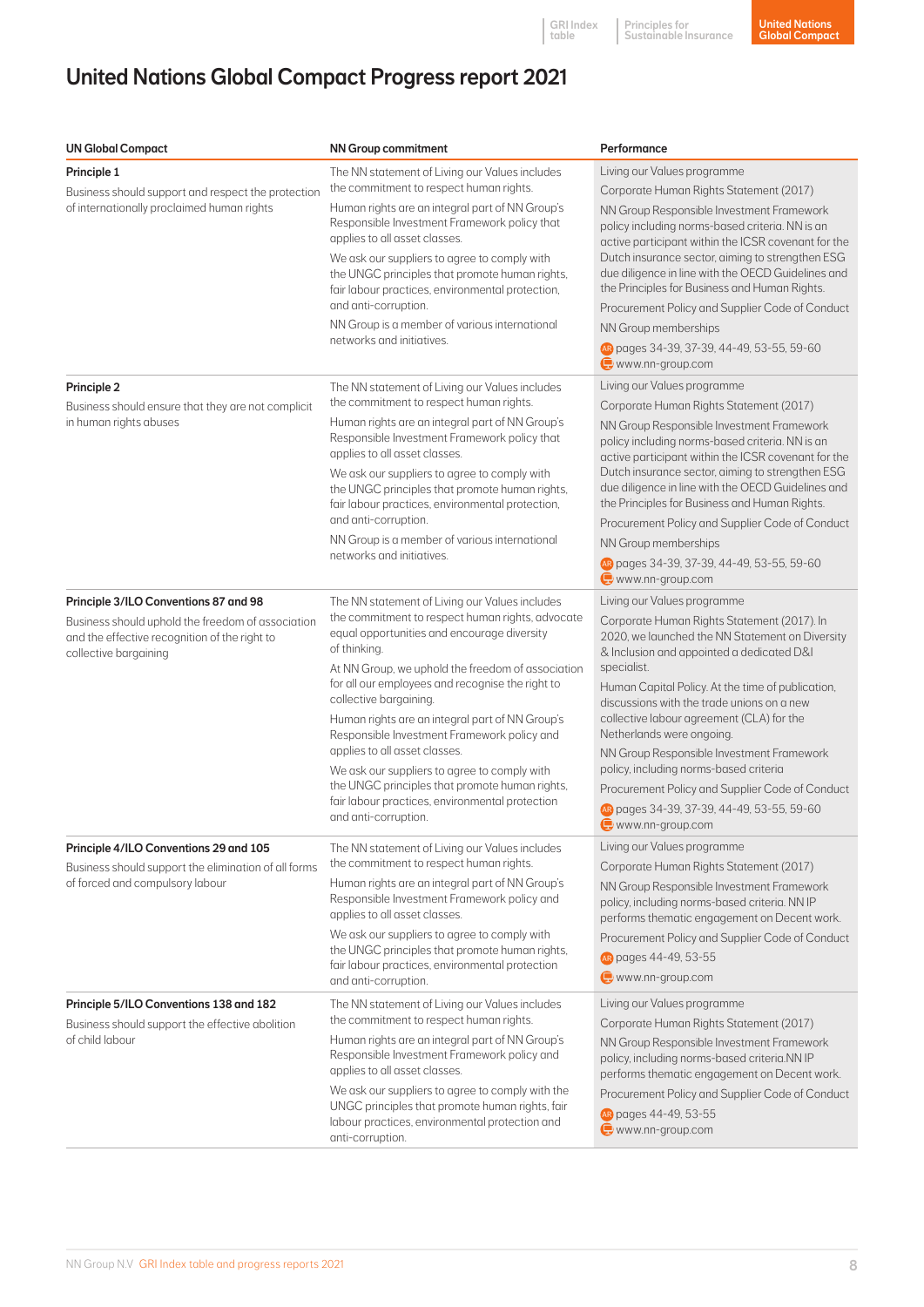# United Nations Global Compact Progress report 2021

| <b>UN Global Compact</b>                                                                                                                                             | <b>NN Group commitment</b>                                                                                                                                                                                                                                                                                                                                                                                                                                                                                                                                                                                          | Performance                                                                                                                                                                                                                                                                                                                                                                                                                                                                                                                                                                                   |
|----------------------------------------------------------------------------------------------------------------------------------------------------------------------|---------------------------------------------------------------------------------------------------------------------------------------------------------------------------------------------------------------------------------------------------------------------------------------------------------------------------------------------------------------------------------------------------------------------------------------------------------------------------------------------------------------------------------------------------------------------------------------------------------------------|-----------------------------------------------------------------------------------------------------------------------------------------------------------------------------------------------------------------------------------------------------------------------------------------------------------------------------------------------------------------------------------------------------------------------------------------------------------------------------------------------------------------------------------------------------------------------------------------------|
| Principle 1<br>Business should support and respect the protection<br>of internationally proclaimed human rights                                                      | The NN statement of Living our Values includes<br>the commitment to respect human rights.<br>Human rights are an integral part of NN Group's<br>Responsible Investment Framework policy that<br>applies to all asset classes.<br>We ask our suppliers to agree to comply with<br>the UNGC principles that promote human rights,<br>fair labour practices, environmental protection,<br>and anti-corruption.<br>NN Group is a member of various international<br>networks and initiatives.                                                                                                                           | Living our Values programme<br>Corporate Human Rights Statement (2017)<br>NN Group Responsible Investment Framework<br>policy including norms-based criteria. NN is an<br>active participant within the ICSR covenant for the<br>Dutch insurance sector, aiming to strengthen ESG<br>due diligence in line with the OECD Guidelines and<br>the Principles for Business and Human Rights.<br>Procurement Policy and Supplier Code of Conduct<br>NN Group memberships<br>B pages 34-39, 37-39, 44-49, 53-55, 59-60<br>$w$ www.nn-group.com                                                      |
| Principle 2<br>Business should ensure that they are not complicit<br>in human rights abuses                                                                          | The NN statement of Living our Values includes<br>the commitment to respect human rights.<br>Human rights are an integral part of NN Group's<br>Responsible Investment Framework policy that<br>applies to all asset classes.<br>We ask our suppliers to agree to comply with<br>the UNGC principles that promote human rights,<br>fair labour practices, environmental protection,<br>and anti-corruption.<br>NN Group is a member of various international<br>networks and initiatives.                                                                                                                           | Living our Values programme<br>Corporate Human Rights Statement (2017)<br>NN Group Responsible Investment Framework<br>policy including norms-based criteria. NN is an<br>active participant within the ICSR covenant for the<br>Dutch insurance sector, aiming to strengthen ESG<br>due diligence in line with the OECD Guidelines and<br>the Principles for Business and Human Rights.<br>Procurement Policy and Supplier Code of Conduct<br>NN Group memberships<br>AR pages 34-39, 37-39, 44-49, 53-55, 59-60<br>$\Box$ www.nn-group.com                                                  |
| Principle 3/ILO Conventions 87 and 98<br>Business should uphold the freedom of association<br>and the effective recognition of the right to<br>collective bargaining | The NN statement of Living our Values includes<br>the commitment to respect human rights, advocate<br>equal opportunities and encourage diversity<br>of thinking.<br>At NN Group, we uphold the freedom of association<br>for all our employees and recognise the right to<br>collective bargaining<br>Human rights are an integral part of NN Group's<br>Responsible Investment Framework policy and<br>applies to all asset classes.<br>We ask our suppliers to agree to comply with<br>the UNGC principles that promote human rights,<br>fair labour practices, environmental protection<br>and anti-corruption. | Living our Values programme<br>Corporate Human Rights Statement (2017). In<br>2020, we launched the NN Statement on Diversity<br>& Inclusion and appointed a dedicated D&I<br>specialist.<br>Human Capital Policy. At the time of publication,<br>discussions with the trade unions on a new<br>collective labour agreement (CLA) for the<br>Netherlands were ongoing<br>NN Group Responsible Investment Framework<br>policy, including norms-based criteria<br>Procurement Policy and Supplier Code of Conduct<br>AR pages 34-39, 37-39, 44-49, 53-55, 59-60<br>$\bigoplus$ www.nn-group.com |
| Principle 4/ILO Conventions 29 and 105<br>Business should support the elimination of all forms<br>of forced and compulsory labour                                    | The NN statement of Living our Values includes<br>the commitment to respect human rights.<br>Human rights are an integral part of NN Group's<br>Responsible Investment Framework policy and<br>applies to all asset classes.<br>We ask our suppliers to agree to comply with<br>the UNGC principles that promote human rights,<br>fair labour practices, environmental protection<br>and anti-corruption.                                                                                                                                                                                                           | Living our Values programme<br>Corporate Human Rights Statement (2017)<br>NN Group Responsible Investment Framework<br>policy, including norms-based criteria. NN IP<br>performs thematic engagement on Decent work.<br>Procurement Policy and Supplier Code of Conduct<br>AR pages 44-49, 53-55<br>www.nn-group.com                                                                                                                                                                                                                                                                          |
| Principle 5/ILO Conventions 138 and 182<br>Business should support the effective abolition<br>of child labour                                                        | The NN statement of Living our Values includes<br>the commitment to respect human rights.<br>Human rights are an integral part of NN Group's<br>Responsible Investment Framework policy and<br>applies to all asset classes.<br>We ask our suppliers to agree to comply with the<br>UNGC principles that promote human rights, fair<br>labour practices, environmental protection and<br>anti-corruption.                                                                                                                                                                                                           | Living our Values programme<br>Corporate Human Rights Statement (2017)<br>NN Group Responsible Investment Framework<br>policy, including norms-based criteria.NN IP<br>performs thematic engagement on Decent work.<br>Procurement Policy and Supplier Code of Conduct<br>AR pages 44-49, 53-55<br>www.nn-group.com                                                                                                                                                                                                                                                                           |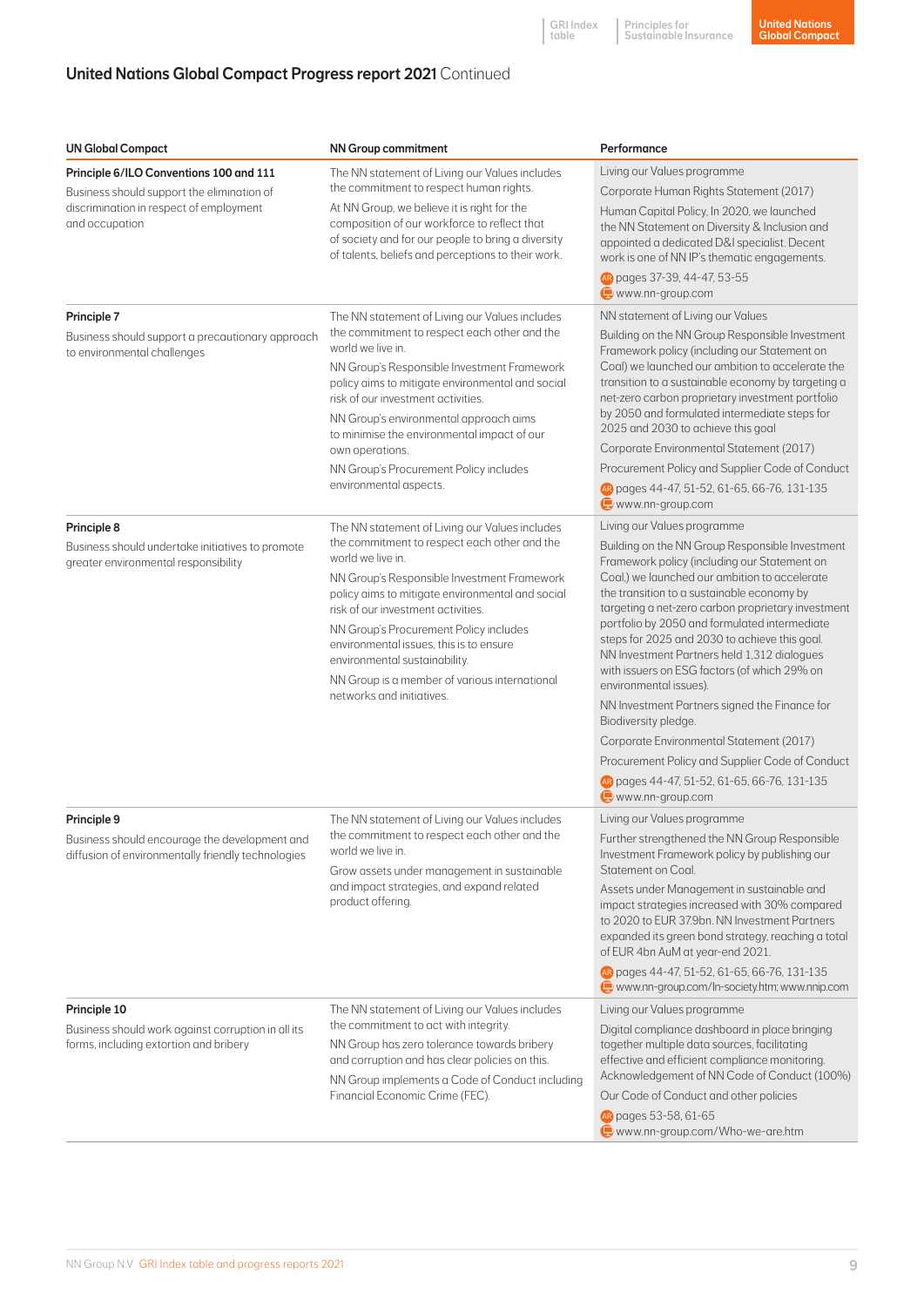Principles for Sustainable Insurance GRI Index table

## United Nations Global Compact Progress report 2021 Continued

| <b>UN Global Compact</b>                                                                                                                           | <b>NN Group commitment</b>                                                                                                                                                                                                                                                                                                                                                                                                                                       | Performance                                                                                                                                                                                                                                                                                                                                                                                                                                                                                                                                                                                                                                                                                                                                                |
|----------------------------------------------------------------------------------------------------------------------------------------------------|------------------------------------------------------------------------------------------------------------------------------------------------------------------------------------------------------------------------------------------------------------------------------------------------------------------------------------------------------------------------------------------------------------------------------------------------------------------|------------------------------------------------------------------------------------------------------------------------------------------------------------------------------------------------------------------------------------------------------------------------------------------------------------------------------------------------------------------------------------------------------------------------------------------------------------------------------------------------------------------------------------------------------------------------------------------------------------------------------------------------------------------------------------------------------------------------------------------------------------|
| Principle 6/ILO Conventions 100 and 111<br>Business should support the elimination of<br>discrimination in respect of employment<br>and occupation | The NN statement of Living our Values includes<br>the commitment to respect human rights.<br>At NN Group, we believe it is right for the<br>composition of our workforce to reflect that<br>of society and for our people to bring a diversity<br>of talents, beliefs and perceptions to their work.                                                                                                                                                             | Living our Values programme<br>Corporate Human Rights Statement (2017)<br>Human Capital Policy, In 2020, we launched<br>the NN Statement on Diversity & Inclusion and<br>appointed a dedicated D&I specialist. Decent<br>work is one of NN IP's thematic engagements.<br><b>B</b> pages 37-39, 44-47, 53-55<br>$\bullet$ www.nn-group.com                                                                                                                                                                                                                                                                                                                                                                                                                  |
| Principle 7<br>Business should support a precautionary approach<br>to environmental challenges                                                     | The NN statement of Living our Values includes<br>the commitment to respect each other and the<br>world we live in<br>NN Group's Responsible Investment Framework<br>policy aims to mitigate environmental and social<br>risk of our investment activities.<br>NN Group's environmental approach aims<br>to minimise the environmental impact of our<br>own operations.<br>NN Group's Procurement Policy includes<br>environmental aspects.                      | NN statement of Living our Values<br>Building on the NN Group Responsible Investment<br>Framework policy (including our Statement on<br>Coal) we launched our ambition to accelerate the<br>transition to a sustainable economy by targeting a<br>net-zero carbon proprietary investment portfolio<br>by 2050 and formulated intermediate steps for<br>2025 and 2030 to achieve this goal<br>Corporate Environmental Statement (2017)<br>Procurement Policy and Supplier Code of Conduct<br>AR pages 44-47, 51-52, 61-65, 66-76, 131-135<br>$\bigoplus$ www.nn-group.com                                                                                                                                                                                   |
| Principle 8<br>Business should undertake initiatives to promote<br>greater environmental responsibility                                            | The NN statement of Living our Values includes<br>the commitment to respect each other and the<br>world we live in.<br>NN Group's Responsible Investment Framework<br>policy aims to mitigate environmental and social<br>risk of our investment activities.<br>NN Group's Procurement Policy includes<br>environmental issues, this is to ensure<br>environmental sustainability.<br>NN Group is a member of various international<br>networks and initiatives. | Living our Values programme<br>Building on the NN Group Responsible Investment<br>Framework policy (including our Statement on<br>Coal,) we launched our ambition to accelerate<br>the transition to a sustainable economy by<br>targeting a net-zero carbon proprietary investment<br>portfolio by 2050 and formulated intermediate<br>steps for 2025 and 2030 to achieve this goal.<br>NN Investment Partners held 1,312 dialogues<br>with issuers on ESG factors (of which 29% on<br>environmental issues).<br>NN Investment Partners signed the Finance for<br>Biodiversity pledge.<br>Corporate Environmental Statement (2017)<br>Procurement Policy and Supplier Code of Conduct<br>AR pages 44-47, 51-52, 61-65, 66-76, 131-135<br>www.nn-group.com |
| Principle 9<br>Business should encourage the development and<br>diffusion of environmentally friendly technologies                                 | The NN statement of Living our Values includes<br>the commitment to respect each other and the<br>world we live in.<br>Grow assets under management in sustainable<br>and impact strategies, and expand related<br>product offering.                                                                                                                                                                                                                             | Living our Values programme<br>Further strengthened the NN Group Responsible<br>Investment Framework policy by publishing our<br>Statement on Coal.<br>Assets under Management in sustainable and<br>impact strategies increased with 30% compared<br>to 2020 to EUR 37.9bn. NN Investment Partners<br>expanded its green bond strategy, reaching a total<br>of EUR 4bn AuM at year-end 2021.<br>Repages 44-47, 51-52, 61-65, 66-76, 131-135<br>www.nn-group.com/In-society.htm; www.nnip.com                                                                                                                                                                                                                                                              |
| Principle 10<br>Business should work against corruption in all its<br>forms, including extortion and bribery                                       | The NN statement of Living our Values includes<br>the commitment to act with integrity.<br>NN Group has zero tolerance towards bribery<br>and corruption and has clear policies on this.<br>NN Group implements a Code of Conduct including<br>Financial Economic Crime (FEC).                                                                                                                                                                                   | Living our Values programme<br>Digital compliance dashboard in place bringing<br>together multiple data sources, facilitating<br>effective and efficient compliance monitoring.<br>Acknowledgement of NN Code of Conduct (100%)<br>Our Code of Conduct and other policies<br>AR pages 53-58, 61-65<br>www.nn-group.com/Who-we-are.htm                                                                                                                                                                                                                                                                                                                                                                                                                      |